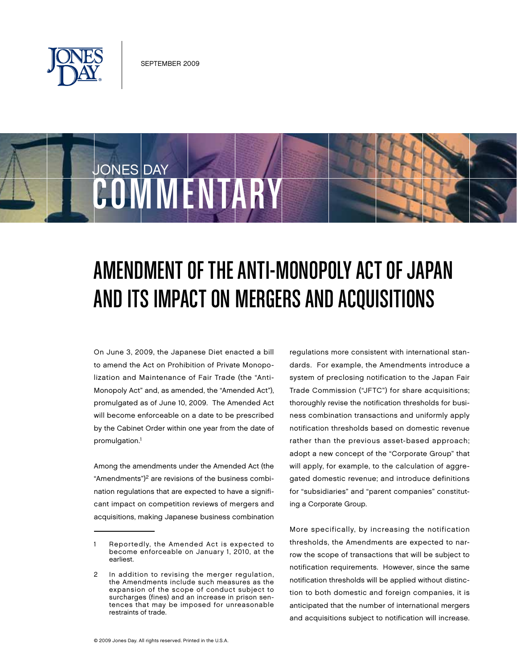

COMMENTAR

**JONES DAY** 

# AMENDMENT OF THE ANTI-MONOPOLY ACT OF JAPAN and its Impacton Mergers and Acquisitions

On June 3, 2009, the Japanese Diet enacted a bill to amend the Act on Prohibition of Private Monopolization and Maintenance of Fair Trade (the "Anti-Monopoly Act" and, as amended, the "Amended Act"), promulgated as of June 10, 2009. The Amended Act will become enforceable on a date to be prescribed by the Cabinet Order within one year from the date of promulgation.<sup>1</sup>

Among the amendments under the Amended Act (the "Amendments" $)^2$  are revisions of the business combination regulations that are expected to have a significant impact on competition reviews of mergers and acquisitions, making Japanese business combination regulations more consistent with international standards. For example, the Amendments introduce a system of preclosing notification to the Japan Fair Trade Commission ("JFTC") for share acquisitions; thoroughly revise the notification thresholds for business combination transactions and uniformly apply notification thresholds based on domestic revenue rather than the previous asset-based approach; adopt a new concept of the "Corporate Group" that will apply, for example, to the calculation of aggregated domestic revenue; and introduce definitions for "subsidiaries" and "parent companies" constituting a Corporate Group.

More specifically, by increasing the notification thresholds, the Amendments are expected to narrow the scope of transactions that will be subject to notification requirements. However, since the same notification thresholds will be applied without distinction to both domestic and foreign companies, it is anticipated that the number of international mergers and acquisitions subject to notification will increase.

<sup>1</sup> Reportedly, the Amended Act is expected to become enforceable on January 1, 2010, at the earliest.

In addition to revising the merger regulation, the Amendments include such measures as the expansion of the scope of conduct subject to surcharges (fines) and an increase in prison sentences that may be imposed for unreasonable restraints of trade.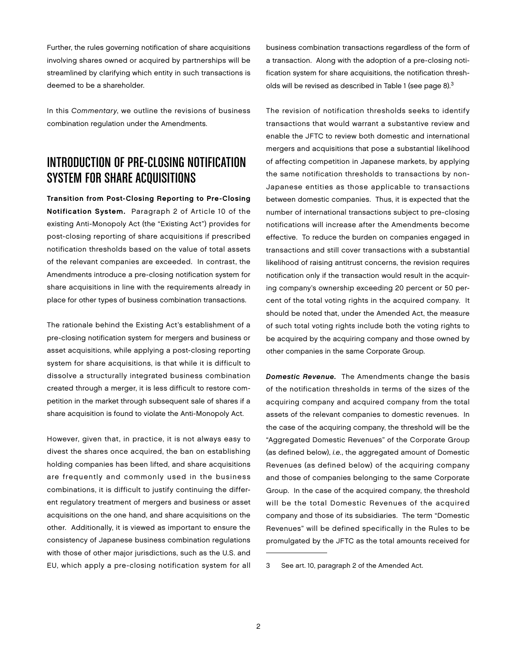Further, the rules governing notification of share acquisitions involving shares owned or acquired by partnerships will be streamlined by clarifying which entity in such transactions is deemed to be a shareholder.

In this Commentary, we outline the revisions of business combination regulation under the Amendments.

# INTRODUCTION OF PRE-CLOSING NOTIFICATION System for Share Acquisitions

Transition from Post-Closing Reporting to Pre-Closing Notification System. Paragraph 2 of Article 10 of the existing Anti-Monopoly Act (the "Existing Act") provides for post-closing reporting of share acquisitions if prescribed notification thresholds based on the value of total assets of the relevant companies are exceeded. In contrast, the Amendments introduce a pre-closing notification system for share acquisitions in line with the requirements already in place for other types of business combination transactions.

The rationale behind the Existing Act's establishment of a pre-closing notification system for mergers and business or asset acquisitions, while applying a post-closing reporting system for share acquisitions, is that while it is difficult to dissolve a structurally integrated business combination created through a merger, it is less difficult to restore competition in the market through subsequent sale of shares if a share acquisition is found to violate the Anti-Monopoly Act.

However, given that, in practice, it is not always easy to divest the shares once acquired, the ban on establishing holding companies has been lifted, and share acquisitions are frequently and commonly used in the business combinations, it is difficult to justify continuing the different regulatory treatment of mergers and business or asset acquisitions on the one hand, and share acquisitions on the other. Additionally, it is viewed as important to ensure the consistency of Japanese business combination regulations with those of other major jurisdictions, such as the U.S. and EU, which apply a pre-closing notification system for all

business combination transactions regardless of the form of a transaction. Along with the adoption of a pre-closing notification system for share acquisitions, the notification thresholds will be revised as described in Table 1 (see page 8).<sup>3</sup>

The revision of notification thresholds seeks to identify transactions that would warrant a substantive review and enable the JFTC to review both domestic and international mergers and acquisitions that pose a substantial likelihood of affecting competition in Japanese markets, by applying the same notification thresholds to transactions by non-Japanese entities as those applicable to transactions between domestic companies. Thus, it is expected that the number of international transactions subject to pre-closing notifications will increase after the Amendments become effective. To reduce the burden on companies engaged in transactions and still cover transactions with a substantial likelihood of raising antitrust concerns, the revision requires notification only if the transaction would result in the acquiring company's ownership exceeding 20 percent or 50 percent of the total voting rights in the acquired company. It should be noted that, under the Amended Act, the measure of such total voting rights include both the voting rights to be acquired by the acquiring company and those owned by other companies in the same Corporate Group.

Domestic Revenue. The Amendments change the basis of the notification thresholds in terms of the sizes of the acquiring company and acquired company from the total assets of the relevant companies to domestic revenues. In the case of the acquiring company, the threshold will be the "Aggregated Domestic Revenues" of the Corporate Group (as defined below), i.e., the aggregated amount of Domestic Revenues (as defined below) of the acquiring company and those of companies belonging to the same Corporate Group. In the case of the acquired company, the threshold will be the total Domestic Revenues of the acquired company and those of its subsidiaries. The term "Domestic Revenues" will be defined specifically in the Rules to be promulgated by the JFTC as the total amounts received for

<sup>3</sup> See art. 10, paragraph 2 of the Amended Act.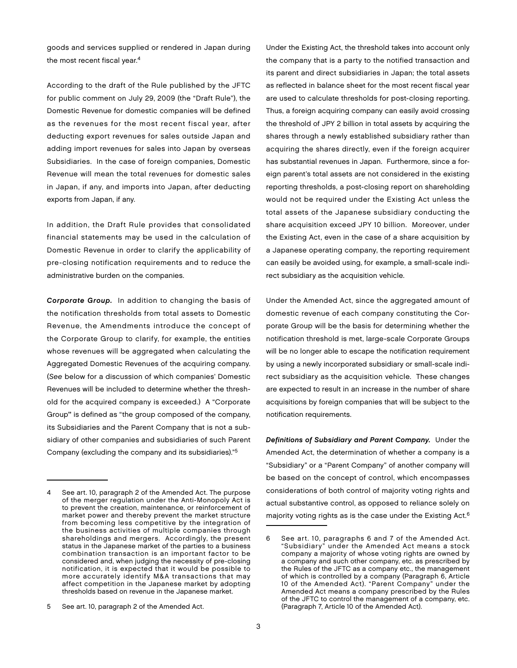goods and services supplied or rendered in Japan during the most recent fiscal year.<sup>4</sup>

According to the draft of the Rule published by the JFTC for public comment on July 29, 2009 (the "Draft Rule"), the Domestic Revenue for domestic companies will be defined as the revenues for the most recent fiscal year, after deducting export revenues for sales outside Japan and adding import revenues for sales into Japan by overseas Subsidiaries. In the case of foreign companies, Domestic Revenue will mean the total revenues for domestic sales in Japan, if any, and imports into Japan, after deducting exports from Japan, if any.

In addition, the Draft Rule provides that consolidated financial statements may be used in the calculation of Domestic Revenue in order to clarify the applicability of pre-closing notification requirements and to reduce the administrative burden on the companies.

Corporate Group. In addition to changing the basis of the notification thresholds from total assets to Domestic Revenue, the Amendments introduce the concept of the Corporate Group to clarify, for example, the entities whose revenues will be aggregated when calculating the Aggregated Domestic Revenues of the acquiring company. (See below for a discussion of which companies' Domestic Revenues will be included to determine whether the threshold for the acquired company is exceeded.) A "Corporate Group" is defined as "the group composed of the company, its Subsidiaries and the Parent Company that is not a subsidiary of other companies and subsidiaries of such Parent Company (excluding the company and its subsidiaries)."5

Under the Existing Act, the threshold takes into account only the company that is a party to the notified transaction and its parent and direct subsidiaries in Japan; the total assets as reflected in balance sheet for the most recent fiscal year are used to calculate thresholds for post-closing reporting. Thus, a foreign acquiring company can easily avoid crossing the threshold of JPY 2 billion in total assets by acquiring the shares through a newly established subsidiary rather than acquiring the shares directly, even if the foreign acquirer has substantial revenues in Japan. Furthermore, since a foreign parent's total assets are not considered in the existing reporting thresholds, a post-closing report on shareholding would not be required under the Existing Act unless the total assets of the Japanese subsidiary conducting the share acquisition exceed JPY 10 billion. Moreover, under the Existing Act, even in the case of a share acquisition by a Japanese operating company, the reporting requirement can easily be avoided using, for example, a small-scale indirect subsidiary as the acquisition vehicle.

Under the Amended Act, since the aggregated amount of domestic revenue of each company constituting the Corporate Group will be the basis for determining whether the notification threshold is met, large-scale Corporate Groups will be no longer able to escape the notification requirement by using a newly incorporated subsidiary or small-scale indirect subsidiary as the acquisition vehicle. These changes are expected to result in an increase in the number of share acquisitions by foreign companies that will be subject to the notification requirements.

Definitions of Subsidiary and Parent Company. Under the Amended Act, the determination of whether a company is a "Subsidiary" or a "Parent Company" of another company will be based on the concept of control, which encompasses considerations of both control of majority voting rights and actual substantive control, as opposed to reliance solely on majority voting rights as is the case under the Existing Act.<sup>6</sup>

See art. 10, paragraph 2 of the Amended Act. The purpose of the merger regulation under the Anti-Monopoly Act is to prevent the creation, maintenance, or reinforcement of market power and thereby prevent the market structure from becoming less competitive by the integration of the business activities of multiple companies through shareholdings and mergers. Accordingly, the present status in the Japanese market of the parties to a business combination transaction is an important factor to be considered and, when judging the necessity of pre-closing notification, it is expected that it would be possible to more accurately identify M&A transactions that may affect competition in the Japanese market by adopting thresholds based on revenue in the Japanese market.

<sup>5</sup> See art. 10, paragraph 2 of the Amended Act.

<sup>6</sup> See art. 10, paragraphs 6 and 7 of the Amended Act. "Subsidiary" under the Amended Act means a stock company a majority of whose voting rights are owned by a company and such other company, etc. as prescribed by the Rules of the JFTC as a company etc., the management of which is controlled by a company (Paragraph 6, Article 10 of the Amended Act). "Parent Company" under the Amended Act means a company prescribed by the Rules of the JFTC to control the management of a company, etc. (Paragraph 7, Article 10 of the Amended Act).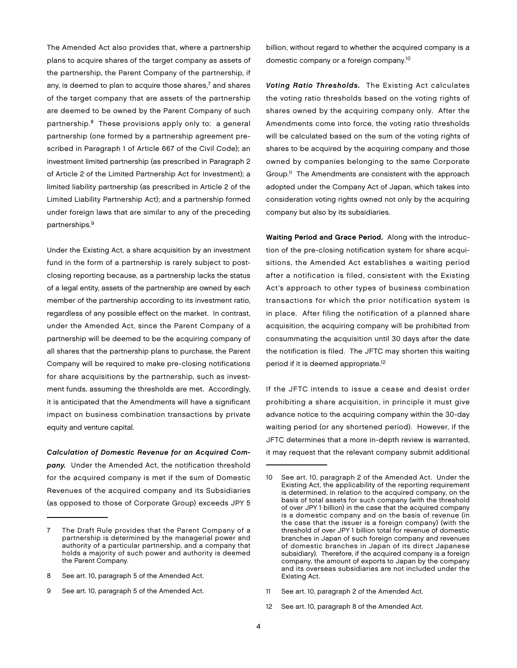The Amended Act also provides that, where a partnership plans to acquire shares of the target company as assets of the partnership, the Parent Company of the partnership, if any, is deemed to plan to acquire those shares, $<sup>7</sup>$  and shares</sup> of the target company that are assets of the partnership are deemed to be owned by the Parent Company of such partnership.8 These provisions apply only to: a general partnership (one formed by a partnership agreement prescribed in Paragraph 1 of Article 667 of the Civil Code); an investment limited partnership (as prescribed in Paragraph 2 of Article 2 of the Limited Partnership Act for Investment); a limited liability partnership (as prescribed in Article 2 of the Limited Liability Partnership Act); and a partnership formed under foreign laws that are similar to any of the preceding partnerships.9

Under the Existing Act, a share acquisition by an investment fund in the form of a partnership is rarely subject to postclosing reporting because, as a partnership lacks the status of a legal entity, assets of the partnership are owned by each member of the partnership according to its investment ratio, regardless of any possible effect on the market. In contrast, under the Amended Act, since the Parent Company of a partnership will be deemed to be the acquiring company of all shares that the partnership plans to purchase, the Parent Company will be required to make pre-closing notifications for share acquisitions by the partnership, such as investment funds, assuming the thresholds are met. Accordingly, it is anticipated that the Amendments will have a significant impact on business combination transactions by private equity and venture capital.

Calculation of Domestic Revenue for an Acquired Company. Under the Amended Act, the notification threshold for the acquired company is met if the sum of Domestic Revenues of the acquired company and its Subsidiaries (as opposed to those of Corporate Group) exceeds JPY 5

billion, without regard to whether the acquired company is a domestic company or a foreign company.10

Voting Ratio Thresholds. The Existing Act calculates the voting ratio thresholds based on the voting rights of shares owned by the acquiring company only. After the Amendments come into force, the voting ratio thresholds will be calculated based on the sum of the voting rights of shares to be acquired by the acquiring company and those owned by companies belonging to the same Corporate Group.11 The Amendments are consistent with the approach adopted under the Company Act of Japan, which takes into consideration voting rights owned not only by the acquiring company but also by its subsidiaries.

Waiting Period and Grace Period. Along with the introduction of the pre-closing notification system for share acquisitions, the Amended Act establishes a waiting period after a notification is filed, consistent with the Existing Act's approach to other types of business combination transactions for which the prior notification system is in place. After filing the notification of a planned share acquisition, the acquiring company will be prohibited from consummating the acquisition until 30 days after the date the notification is filed. The JFTC may shorten this waiting period if it is deemed appropriate.<sup>12</sup>

If the JFTC intends to issue a cease and desist order prohibiting a share acquisition, in principle it must give advance notice to the acquiring company within the 30-day waiting period (or any shortened period). However, if the JFTC determines that a more in-depth review is warranted, it may request that the relevant company submit additional

The Draft Rule provides that the Parent Company of a partnership is determined by the managerial power and authority of a particular partnership, and a company that holds a majority of such power and authority is deemed the Parent Company.

<sup>8</sup> See art. 10, paragraph 5 of the Amended Act.

<sup>9</sup> See art. 10, paragraph 5 of the Amended Act.

<sup>10</sup> See art. 10, paragraph 2 of the Amended Act. Under the Existing Act, the applicability of the reporting requirement is determined, in relation to the acquired company, on the basis of total assets for such company (with the threshold of over JPY 1 billion) in the case that the acquired company is a domestic company and on the basis of revenue (in the case that the issuer is a foreign company) (with the threshold of over JPY 1 billion total for revenue of domestic branches in Japan of such foreign company and revenues of domestic branches in Japan of its direct Japanese subsidiary). Therefore, if the acquired company is a foreign company, the amount of exports to Japan by the company and its overseas subsidiaries are not included under the Existing Act.

<sup>11</sup> See art. 10, paragraph 2 of the Amended Act.

<sup>12</sup> See art. 10, paragraph 8 of the Amended Act.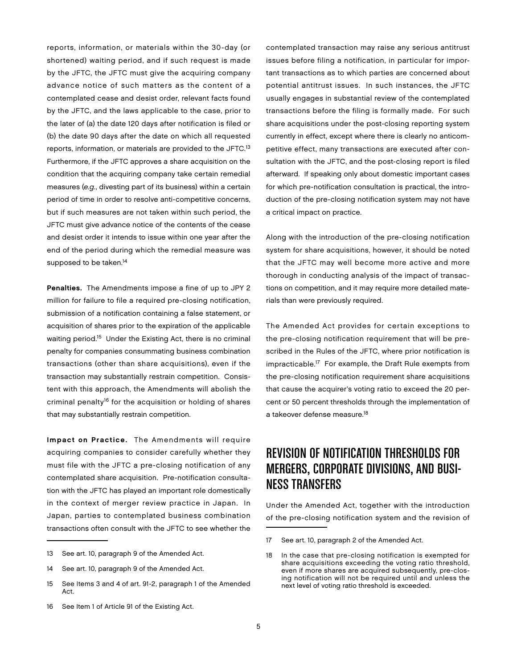reports, information, or materials within the 30-day (or shortened) waiting period, and if such request is made by the JFTC, the JFTC must give the acquiring company advance notice of such matters as the content of a contemplated cease and desist order, relevant facts found by the JFTC, and the laws applicable to the case, prior to the later of (a) the date 120 days after notification is filed or (b) the date 90 days after the date on which all requested reports, information, or materials are provided to the JFTC.13 Furthermore, if the JFTC approves a share acquisition on the condition that the acquiring company take certain remedial measures (e.g., divesting part of its business) within a certain period of time in order to resolve anti-competitive concerns, but if such measures are not taken within such period, the JFTC must give advance notice of the contents of the cease and desist order it intends to issue within one year after the end of the period during which the remedial measure was supposed to be taken.<sup>14</sup>

Penalties. The Amendments impose a fine of up to JPY 2 million for failure to file a required pre-closing notification, submission of a notification containing a false statement, or acquisition of shares prior to the expiration of the applicable waiting period.<sup>15</sup> Under the Existing Act, there is no criminal penalty for companies consummating business combination transactions (other than share acquisitions), even if the transaction may substantially restrain competition. Consistent with this approach, the Amendments will abolish the criminal penalty<sup>16</sup> for the acquisition or holding of shares that may substantially restrain competition.

Impact on Practice. The Amendments will require acquiring companies to consider carefully whether they must file with the JFTC a pre-closing notification of any contemplated share acquisition. Pre-notification consultation with the JFTC has played an important role domestically in the context of merger review practice in Japan. In Japan, parties to contemplated business combination transactions often consult with the JFTC to see whether the

- 13 See art. 10, paragraph 9 of the Amended Act.
- 14 See art. 10, paragraph 9 of the Amended Act.
- 15 See Items 3 and 4 of art. 91-2, paragraph 1 of the Amended Act.
- 16 See Item 1 of Article 91 of the Existing Act.

contemplated transaction may raise any serious antitrust issues before filing a notification, in particular for important transactions as to which parties are concerned about potential antitrust issues. In such instances, the JFTC usually engages in substantial review of the contemplated transactions before the filing is formally made. For such share acquisitions under the post-closing reporting system currently in effect, except where there is clearly no anticompetitive effect, many transactions are executed after consultation with the JFTC, and the post-closing report is filed afterward. If speaking only about domestic important cases for which pre-notification consultation is practical, the introduction of the pre-closing notification system may not have a critical impact on practice.

Along with the introduction of the pre-closing notification system for share acquisitions, however, it should be noted that the JFTC may well become more active and more thorough in conducting analysis of the impact of transactions on competition, and it may require more detailed materials than were previously required.

The Amended Act provides for certain exceptions to the pre-closing notification requirement that will be prescribed in the Rules of the JFTC, where prior notification is impracticable.17 For example, the Draft Rule exempts from the pre-closing notification requirement share acquisitions that cause the acquirer's voting ratio to exceed the 20 percent or 50 percent thresholds through the implementation of a takeover defense measure.<sup>18</sup>

# REVISION OF NOTIFICATION THRESHOLDS FOR Mergers, Corporate Divisions, and Business Transfers

Under the Amended Act, together with the introduction of the pre-closing notification system and the revision of

- 17 See art. 10, paragraph 2 of the Amended Act.
- 18 In the case that pre-closing notification is exempted for share acquisitions exceeding the voting ratio threshold, even if more shares are acquired subsequently, pre-closing notification will not be required until and unless the next level of voting ratio threshold is exceeded.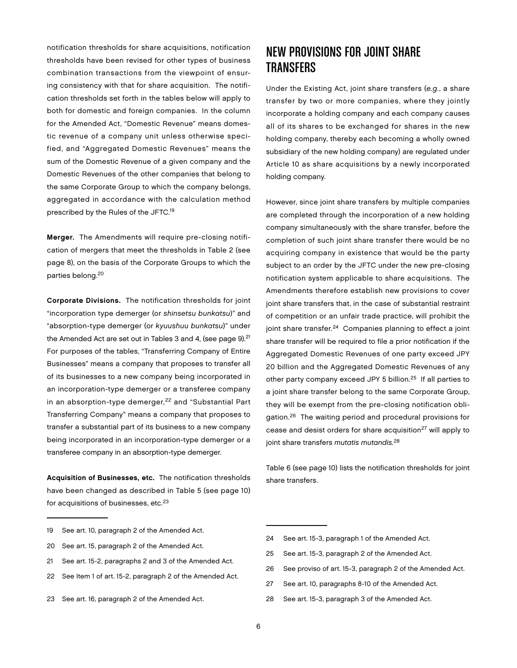notification thresholds for share acquisitions, notification thresholds have been revised for other types of business combination transactions from the viewpoint of ensuring consistency with that for share acquisition. The notification thresholds set forth in the tables below will apply to both for domestic and foreign companies. In the column for the Amended Act, "Domestic Revenue" means domestic revenue of a company unit unless otherwise specified, and "Aggregated Domestic Revenues" means the sum of the Domestic Revenue of a given company and the Domestic Revenues of the other companies that belong to the same Corporate Group to which the company belongs, aggregated in accordance with the calculation method prescribed by the Rules of the JFTC.19

Merger. The Amendments will require pre-closing notification of mergers that meet the thresholds in Table 2 (see page 8), on the basis of the Corporate Groups to which the parties belong.20

Corporate Divisions. The notification thresholds for joint "incorporation type demerger (or shinsetsu bunkatsu)" and "absorption-type demerger (or kyuushuu bunkatsu)" under the Amended Act are set out in Tables 3 and 4, (see page  $9$ ).<sup>21</sup> For purposes of the tables, "Transferring Company of Entire Businesses" means a company that proposes to transfer all of its businesses to a new company being incorporated in an incorporation-type demerger or a transferee company in an absorption-type demerger,<sup>22</sup> and "Substantial Part Transferring Company" means a company that proposes to transfer a substantial part of its business to a new company being incorporated in an incorporation-type demerger or a transferee company in an absorption-type demerger.

Acquisition of Businesses, etc. The notification thresholds have been changed as described in Table 5 (see page 10) for acquisitions of businesses, etc.<sup>23</sup>

- 19 See art. 10, paragraph 2 of the Amended Act.
- 20 See art. 15, paragraph 2 of the Amended Act.
- 21 See art. 15-2, paragraphs 2 and 3 of the Amended Act.
- 22 See Item 1 of art. 15-2, paragraph 2 of the Amended Act.
- 23 See art. 16, paragraph 2 of the Amended Act.

### New Provisions for Joint Share **TRANSFERS**

Under the Existing Act, joint share transfers (e.g., a share transfer by two or more companies, where they jointly incorporate a holding company and each company causes all of its shares to be exchanged for shares in the new holding company, thereby each becoming a wholly owned subsidiary of the new holding company) are regulated under Article 10 as share acquisitions by a newly incorporated holding company.

However, since joint share transfers by multiple companies are completed through the incorporation of a new holding company simultaneously with the share transfer, before the completion of such joint share transfer there would be no acquiring company in existence that would be the party subject to an order by the JFTC under the new pre-closing notification system applicable to share acquisitions. The Amendments therefore establish new provisions to cover joint share transfers that, in the case of substantial restraint of competition or an unfair trade practice, will prohibit the joint share transfer.<sup>24</sup> Companies planning to effect a joint share transfer will be required to file a prior notification if the Aggregated Domestic Revenues of one party exceed JPY 20 billion and the Aggregated Domestic Revenues of any other party company exceed JPY 5 billion.25 If all parties to a joint share transfer belong to the same Corporate Group, they will be exempt from the pre-closing notification obligation.26 The waiting period and procedural provisions for cease and desist orders for share acquisition<sup>27</sup> will apply to joint share transfers *mutatis mutandis.<sup>28</sup>* 

Table 6 (see page 10) lists the notification thresholds for joint share transfers.

- 24 See art. 15-3, paragraph 1 of the Amended Act.
- 25 See art. 15-3, paragraph 2 of the Amended Act.
- 26 See proviso of art. 15-3, paragraph 2 of the Amended Act.
- 27 See art. 10, paragraphs 8-10 of the Amended Act.
- 28 See art. 15-3, paragraph 3 of the Amended Act.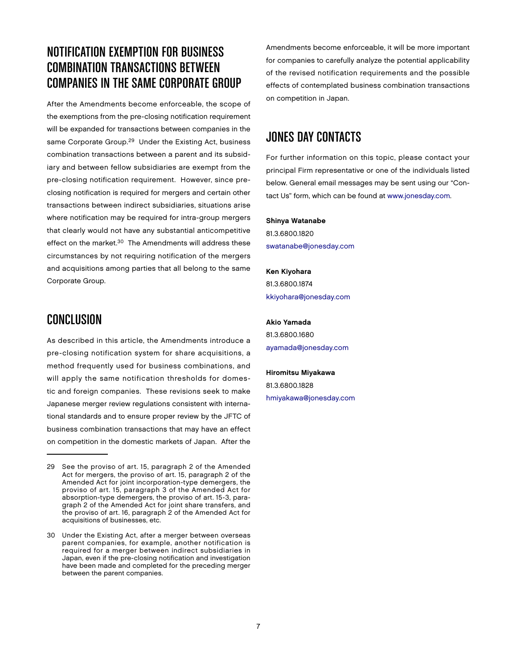# NOTIFICATION EXEMPTION FOR BUSINESS COMBINATION TRANSACTIONS BETWEEN COMPANIES IN THE SAME CORPORATE GROUP

After the Amendments become enforceable, the scope of the exemptions from the pre-closing notification requirement will be expanded for transactions between companies in the same Corporate Group.<sup>29</sup> Under the Existing Act, business combination transactions between a parent and its subsidiary and between fellow subsidiaries are exempt from the pre-closing notification requirement. However, since preclosing notification is required for mergers and certain other transactions between indirect subsidiaries, situations arise where notification may be required for intra-group mergers that clearly would not have any substantial anticompetitive effect on the market.<sup>30</sup> The Amendments will address these circumstances by not requiring notification of the mergers and acquisitions among parties that all belong to the same Corporate Group.

### **CONCLUSION**

As described in this article, the Amendments introduce a pre-closing notification system for share acquisitions, a method frequently used for business combinations, and will apply the same notification thresholds for domestic and foreign companies. These revisions seek to make Japanese merger review regulations consistent with international standards and to ensure proper review by the JFTC of business combination transactions that may have an effect on competition in the domestic markets of Japan. After the

Amendments become enforceable, it will be more important for companies to carefully analyze the potential applicability of the revised notification requirements and the possible effects of contemplated business combination transactions on competition in Japan.

# **JONES DAY CONTACTS**

For further information on this topic, please contact your principal Firm representative or one of the individuals listed below. General email messages may be sent using our "Contact Us" form, which can be found at [www.jonesday.com.](http://www.jonesday.com)

#### Shinya Watanabe

81.3.6800.1820 [swatanabe@jonesday.com](mailto:swatanabe@jonesday.com)

Ken Kiyohara 81.3.6800.1874 [kkiyohara@jonesday.com](mailto:kkiyohara@jonesday.com)

Akio Yamada 81.3.6800.1680 [ayamada@jonesday.com](mailto:ayamada@jonesday.com)

Hiromitsu Miyakawa 81.3.6800.1828 [hmiyakawa@jonesday.com](mailto:hmiyakawa@jonesday.com)

<sup>29</sup> See the proviso of art. 15, paragraph 2 of the Amended Act for mergers, the proviso of art. 15, paragraph 2 of the Amended Act for joint incorporation-type demergers, the proviso of art. 15, paragraph 3 of the Amended Act for absorption-type demergers, the proviso of art. 15-3, paragraph 2 of the Amended Act for joint share transfers, and the proviso of art. 16, paragraph 2 of the Amended Act for acquisitions of businesses, etc.

<sup>30</sup> Under the Existing Act, after a merger between overseas parent companies, for example, another notification is required for a merger between indirect subsidiaries in Japan, even if the pre-closing notification and investigation have been made and completed for the preceding merger between the parent companies.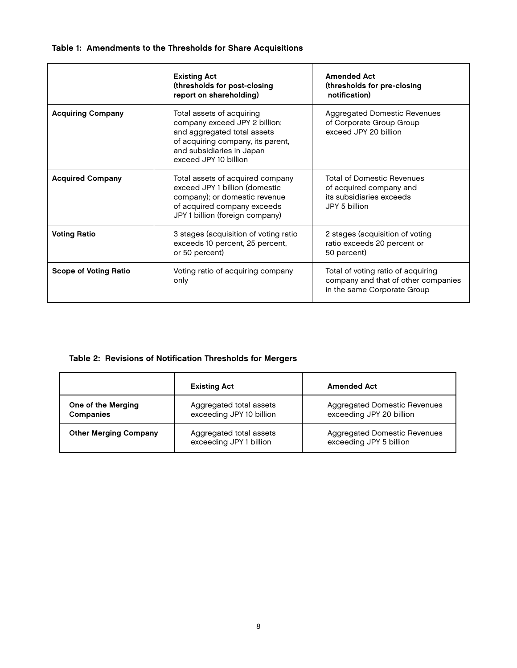### Table 1: Amendments to the Thresholds for Share Acquisitions

|                              | <b>Existing Act</b><br>(thresholds for post-closing<br>report on shareholding)                                                                                                                                                                                                     | <b>Amended Act</b><br>(thresholds for pre-closing<br>notification)                                       |
|------------------------------|------------------------------------------------------------------------------------------------------------------------------------------------------------------------------------------------------------------------------------------------------------------------------------|----------------------------------------------------------------------------------------------------------|
| <b>Acquiring Company</b>     | Total assets of acquiring<br><b>Aggregated Domestic Revenues</b><br>company exceed JPY 2 billion;<br>of Corporate Group Group<br>and aggregated total assets<br>exceed JPY 20 billion<br>of acquiring company, its parent,<br>and subsidiaries in Japan<br>exceed JPY 10 billion   |                                                                                                          |
| <b>Acquired Company</b>      | <b>Total of Domestic Revenues</b><br>Total assets of acquired company<br>exceed JPY 1 billion (domestic<br>of acquired company and<br>company); or domestic revenue<br>its subsidiaries exceeds<br>of acquired company exceeds<br>JPY 5 billion<br>JPY 1 billion (foreign company) |                                                                                                          |
| <b>Voting Ratio</b>          | 3 stages (acquisition of voting ratio<br>2 stages (acquisition of voting<br>exceeds 10 percent, 25 percent,<br>ratio exceeds 20 percent or<br>or 50 percent)<br>50 percent)                                                                                                        |                                                                                                          |
| <b>Scope of Voting Ratio</b> | Voting ratio of acquiring company<br>only                                                                                                                                                                                                                                          | Total of voting ratio of acquiring<br>company and that of other companies<br>in the same Corporate Group |

### Table 2: Revisions of Notification Thresholds for Mergers

|                                        | <b>Existing Act</b>                                 | <b>Amended Act</b>                                       |
|----------------------------------------|-----------------------------------------------------|----------------------------------------------------------|
| One of the Merging<br><b>Companies</b> | Aggregated total assets<br>exceeding JPY 10 billion | Aggregated Domestic Revenues<br>exceeding JPY 20 billion |
| <b>Other Merging Company</b>           | Aggregated total assets<br>exceeding JPY 1 billion  | Aggregated Domestic Revenues<br>exceeding JPY 5 billion  |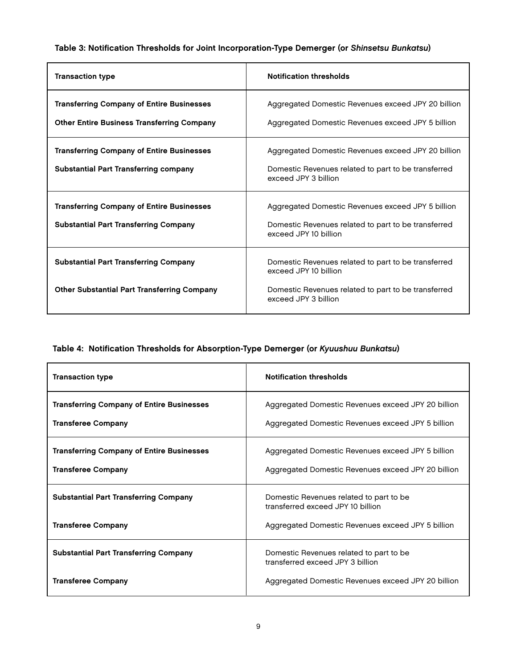### Table 3: Notification Thresholds for Joint Incorporation-Type Demerger (or Shinsetsu Bunkatsu)

| <b>Transaction type</b>                                                                               | <b>Notification thresholds</b>                                                                                                                              |
|-------------------------------------------------------------------------------------------------------|-------------------------------------------------------------------------------------------------------------------------------------------------------------|
| <b>Transferring Company of Entire Businesses</b><br><b>Other Entire Business Transferring Company</b> | Aggregated Domestic Revenues exceed JPY 20 billion<br>Aggregated Domestic Revenues exceed JPY 5 billion                                                     |
| <b>Transferring Company of Entire Businesses</b><br><b>Substantial Part Transferring company</b>      | Aggregated Domestic Revenues exceed JPY 20 billion<br>Domestic Revenues related to part to be transferred<br>exceed JPY 3 billion                           |
| <b>Transferring Company of Entire Businesses</b><br><b>Substantial Part Transferring Company</b>      | Aggregated Domestic Revenues exceed JPY 5 billion<br>Domestic Revenues related to part to be transferred<br>exceed JPY 10 billion                           |
| <b>Substantial Part Transferring Company</b><br><b>Other Substantial Part Transferring Company</b>    | Domestic Revenues related to part to be transferred<br>exceed JPY 10 billion<br>Domestic Revenues related to part to be transferred<br>exceed JPY 3 billion |

### Table 4: Notification Thresholds for Absorption-Type Demerger (or Kyuushuu Bunkatsu)

| <b>Transaction type</b>                                                       | <b>Notification thresholds</b>                                                                          |
|-------------------------------------------------------------------------------|---------------------------------------------------------------------------------------------------------|
| <b>Transferring Company of Entire Businesses</b><br><b>Transferee Company</b> | Aggregated Domestic Revenues exceed JPY 20 billion<br>Aggregated Domestic Revenues exceed JPY 5 billion |
| <b>Transferring Company of Entire Businesses</b><br><b>Transferee Company</b> | Aggregated Domestic Revenues exceed JPY 5 billion<br>Aggregated Domestic Revenues exceed JPY 20 billion |
| <b>Substantial Part Transferring Company</b>                                  | Domestic Revenues related to part to be<br>transferred exceed JPY 10 billion                            |
| <b>Transferee Company</b>                                                     | Aggregated Domestic Revenues exceed JPY 5 billion                                                       |
| <b>Substantial Part Transferring Company</b>                                  | Domestic Revenues related to part to be<br>transferred exceed JPY 3 billion                             |
| <b>Transferee Company</b>                                                     | Aggregated Domestic Revenues exceed JPY 20 billion                                                      |